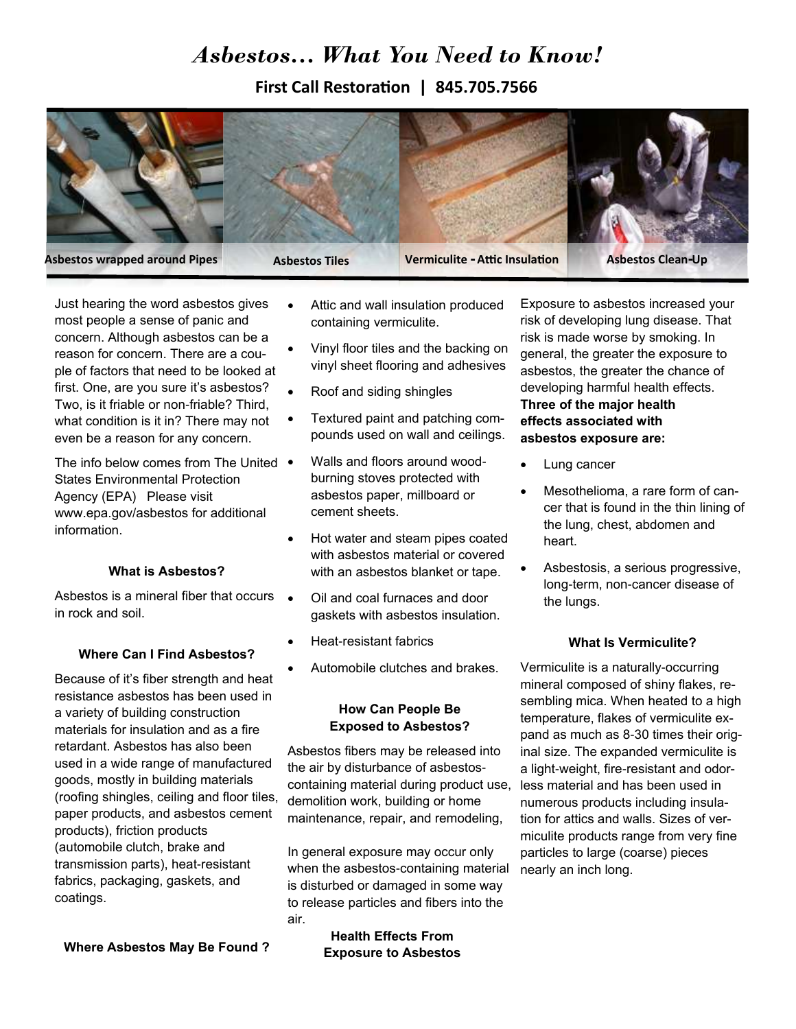# *Asbestos… What You Need to Know!*

**First Call Restoration | 845.705.7566**



Just hearing the word asbestos gives most people a sense of panic and concern. Although asbestos can be a reason for concern. There are a couple of factors that need to be looked at first. One, are you sure it's asbestos? Two, is it friable or non-friable? Third, what condition is it in? There may not even be a reason for any concern.

The info below comes from The United • States Environmental Protection Agency (EPA) Please visit www.epa.gov/asbestos for additional information.

#### **What is Asbestos?**

Asbestos is a mineral fiber that occurs • in rock and soil.

#### **Where Can I Find Asbestos?**

Because of it's fiber strength and heat resistance asbestos has been used in a variety of building construction materials for insulation and as a fire retardant. Asbestos has also been used in a wide range of manufactured goods, mostly in building materials (roofing shingles, ceiling and floor tiles, paper products, and asbestos cement products), friction products (automobile clutch, brake and transmission parts), heat-resistant fabrics, packaging, gaskets, and coatings.

**Where Asbestos May Be Found ?** 

- Attic and wall insulation produced containing vermiculite.
- Vinyl floor tiles and the backing on vinyl sheet flooring and adhesives
- Roof and siding shingles
- Textured paint and patching compounds used on wall and ceilings.
- Walls and floors around woodburning stoves protected with asbestos paper, millboard or cement sheets.
- Hot water and steam pipes coated with asbestos material or covered with an asbestos blanket or tape.
- Oil and coal furnaces and door gaskets with asbestos insulation.
- Heat-resistant fabrics
- Automobile clutches and brakes.

#### **How Can People Be Exposed to Asbestos?**

Asbestos fibers may be released into the air by disturbance of asbestoscontaining material during product use, demolition work, building or home maintenance, repair, and remodeling,

In general exposure may occur only when the asbestos-containing material is disturbed or damaged in some way to release particles and fibers into the air.

> **Health Effects From Exposure to Asbestos**

Exposure to asbestos increased your risk of developing lung disease. That risk is made worse by smoking. In general, the greater the exposure to asbestos, the greater the chance of developing harmful health effects. **Three of the major health effects associated with asbestos exposure are:** 

- Lung cancer
- Mesothelioma, a rare form of cancer that is found in the thin lining of the lung, chest, abdomen and heart.
- Asbestosis, a serious progressive, long-term, non-cancer disease of the lungs.

#### **What Is Vermiculite?**

Vermiculite is a naturally-occurring mineral composed of shiny flakes, resembling mica. When heated to a high temperature, flakes of vermiculite expand as much as 8-30 times their original size. The expanded vermiculite is a light-weight, fire-resistant and odorless material and has been used in numerous products including insulation for attics and walls. Sizes of vermiculite products range from very fine particles to large (coarse) pieces nearly an inch long.